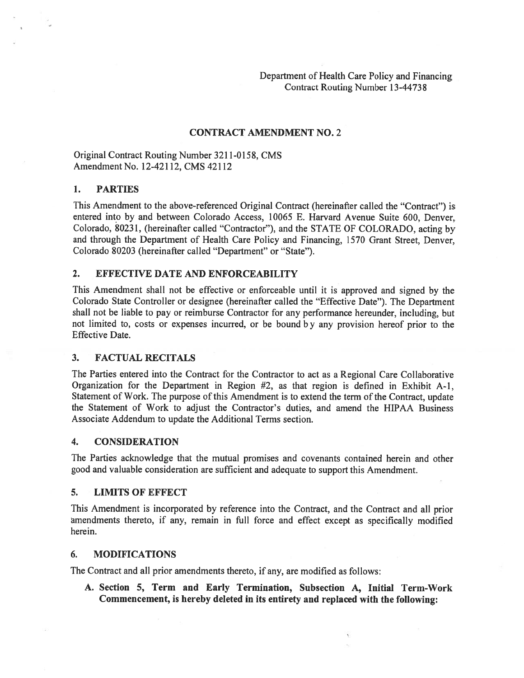Department of Health Care Policy and Financing Contract Routing Number 13-44738

## CONTRACT AMENDMENT NO. 2

## Original Contract Routing Number 3211-0158, CMS Amendment No. 12-42 1 12, CMS 42112

## 1. PARTIES

This Amendment to the above-referenced Original Contract (hereinafter called the "Contract") is entered into by and between Colorado Access, 10065 E. Harvard Avenue Suite 600, Denver, Colorado, 80231, (hereinafter called "Contractor"), and the STATE OF COLORADO, acting by and through the Department of Health Care Policy and Financing, 1570 Grant Street, Denver, Colorado 80203 (hereinafter called "Department" or "State").

## 2. EFFECTIVE DATE AND ENFORCEABILITY

This Amendment shall not be effective or enforceable until it is approve<sup>d</sup> and signed by the Colorado State Controller or designee (hereinafter called the "Effective Date"). The Department shall not be liable to pay or reimburse Contractor for any performance hereunder, including, but not limited to, costs or expenses incurred, or be bound <sup>b</sup> <sup>y</sup> any provision hereof prior to the Effective Date.

#### 3. FACTUAL RECITALS

The Parties entered into the Contract for the Contractor to act as <sup>a</sup> Regional Care Collaborative Organization for the Department in Region #2, as that region is defined in Exhibit A-i, Statement of Work. The purpose of this Amendment is to extend the term of the Contract, update the Statement of Work to adjust the Contractor's duties, and amend the HIPAA Business Associate Addendum to update the Additional Terms section.

#### 4. CONSIDERATION

The Parties acknowledge that the mutual promises and covenants contained herein and other good and valuable consideration are sufficient and adequate to suppor<sup>t</sup> this Amendment.

#### 5. LIMITS OF EFFECT

This Amendment is incorporated by reference into the Contract, and the Contract and all prior amendments thereto, if any, remain in full force and effect excep<sup>t</sup> as specifically modified herein.

#### 6. MODIFICATIONS

The Contract and all prior amendments thereto, if any, are modified as follows:

A. Section 5, Term and Early Termination, Subsection A, Initial Term-Work Commencement, is hereby deleted in its entirety and replaced with the following: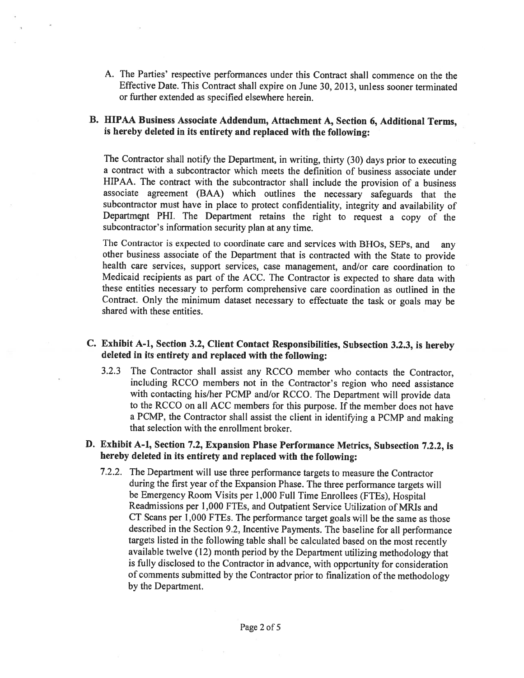A. The Parties' respective performances under this Contract shall commence on the the Effective Date. This Contract shall expire on June 30, 2013, unless sooner terminated or further extended as specified elsewhere herein.

## B. HIPAA Business Associate Addendum, Attachment A, Section 6, Additional Terms, is hereby deleted in its entirety and replaced with the following:

The Contractor shall notify the Department, in writing, thirty (30) days prior to executing <sup>a</sup> contract with <sup>a</sup> subcontractor which meets the definition of business associate under HIPAA. The contract with the subcontractor shall include the provision of <sup>a</sup> business associate agreement (BAA) which outlines the necessary safeguards that the subcontractor must have in <sup>p</sup>lace to protect confidentiality, integrity and availability of Department PHI. The Department retains the right to request <sup>a</sup> copy of the subcontractor's information security <sup>p</sup>lan at any time.

The Contractor is expected to coordinate care and services with BHOs, SEPs, and any other business associate of the Department that is contracted with the State to provide health care services, support services, case management, and/or care coordination to Medicaid recipients as part of the ACC. The Contractor is expected to share data with these entities necessary to perform comprehensive care coordination as outlined in the Contract. Only the minimum dataset necessary to effectuate the task or goals may be shared with these entities.

## C. Exhibit A-i, Section 3.2, Client Contact Responsibilities, Subsection 3.2.3, is hereby deleted in its entirety and replaced with the following:

3.2.3 The Contractor shall assist any RCCO member who contacts the Contractor, including RCCO members not in the Contractor's region who need assistance with contacting his/her PCMP and/or RCCO. The Department will provide data to the RCCO on all ACC members for this purpose. If the member does not have <sup>a</sup> PCMP, the Contractor shall assist the client in identifying <sup>a</sup> PCMP and making that selection with the enrollment broker.

## D. Exhibit A-1, Section 7.2, Expansion Phase Performance Metrics, Subsection 7.2.2, is hereby deleted in its entirety and replaced with the following:

7.2.2. The Department will use three performance targets to measure the Contractor during the first year of the Expansion Phase. The three performance targets will be Emergency Room Visits per 1,000 Full Time Enrollees (FTE5), Hospital Readmissions per 1,000 FTEs, and Outpatient Service Utilization of MRIs and CT Scans per 1,000 FTEs. The performance target goals will be the same as those described in the Section 9.2, Incentive Payments. The baseline for all performance targets listed in the following table shall be calculated based on the most recently available twelve (12) month period by the Department utilizing methodology that is fully disclosed to the Contractor in advance, with opportunity for consideration of comments submitted by the Contractor prior to finalization of the methodology by the Department.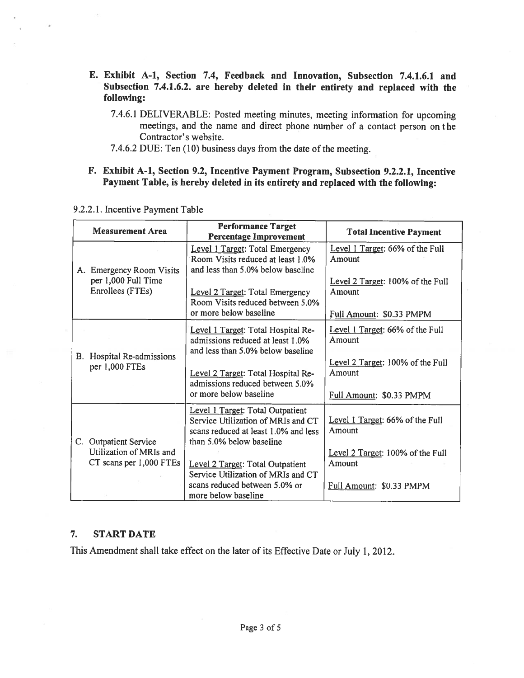- E. Exhibit A-i, Section 7.4, Feedback and Innovation, Subsection 7.4.1.6.1 and Subsection 7.4.1.6.2. are hereby deleted in their entirety and replaced with the following:
	- 7.4.6.1 DELIVERABLE: Posted meeting minutes, meeting information for upcoming meetings, and the name and direct <sup>p</sup>hone number of <sup>a</sup> contact person on the Contractor's website.
	- 7.4.6.2 DUE: Ten (10) business days from the date of the meeting.
- F. Exhibit A-i, Section 9.2, Incentive Payment Program, Subsection 9.2.2.1, Incentive Payment Table, is hereby deleted in its entirety and replaced with the following:

|  | <b>Measurement Area</b>                                             | <b>Performance Target</b><br><b>Percentage Improvement</b>                                                                                        | <b>Total Incentive Payment</b>                                         |
|--|---------------------------------------------------------------------|---------------------------------------------------------------------------------------------------------------------------------------------------|------------------------------------------------------------------------|
|  | A. Emergency Room Visits<br>per 1,000 Full Time<br>Enrollees (FTEs) | Level 1 Target: Total Emergency<br>Room Visits reduced at least 1.0%<br>and less than 5.0% below baseline                                         | Level 1 Target: 66% of the Full<br>Amount                              |
|  |                                                                     | Level 2 Target: Total Emergency<br>Room Visits reduced between 5.0%                                                                               | Level 2 Target: 100% of the Full<br>Amount                             |
|  |                                                                     | or more below baseline                                                                                                                            | Full Amount: \$0.33 PMPM                                               |
|  | B. Hospital Re-admissions<br>per 1,000 FTEs                         | Level 1 Target: Total Hospital Re-<br>admissions reduced at least 1.0%<br>and less than 5.0% below baseline                                       | Level 1 Target: 66% of the Full<br>Amount                              |
|  |                                                                     | Level 2 Target: Total Hospital Re-<br>admissions reduced between 5.0%<br>or more below baseline                                                   | Level 2 Target: 100% of the Full<br>Amount<br>Full Amount: \$0.33 PMPM |
|  | C. Outpatient Service                                               | <b>Level 1 Target: Total Outpatient</b><br>Service Utilization of MRIs and CT<br>scans reduced at least 1.0% and less<br>than 5.0% below baseline | Level 1 Target: 66% of the Full<br>Amount                              |
|  | Utilization of MRIs and                                             |                                                                                                                                                   | Level 2 Target: 100% of the Full                                       |
|  | CT scans per 1,000 FTEs                                             | Level 2 Target: Total Outpatient<br>Service Utilization of MRIs and CT                                                                            | Amount                                                                 |
|  |                                                                     | scans reduced between 5.0% or<br>more below baseline                                                                                              | Full Amount: \$0.33 PMPM                                               |

#### 9.2.2.1. Incentive Payment Table

### 7. START DATE

This Amendment shall take effect on the later of its Effective Date or July 1, 2012.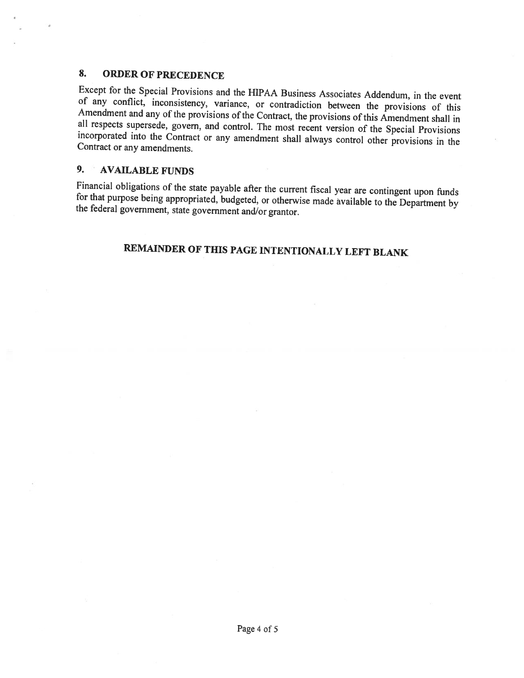## 8. ORDER OF PRECEDENCE

Except for the Special Provisions and the HIPAA Business Associates Addendum, in the event<br>of any conflict, inconsistency, variance, or contradiction between the provisions of this<br>Amendment and any of the provisions of th

## 9. AVAILABLE FUNDS

Financial obligations of the state payable after the current fiscal year are contingent upon funds for that purpose being appropriated, budgeted, or otherwise made available to the Department by the federal government, sta

## REMAINDER OF THIS PAGE INTENTIONALLY LEFT BLANK